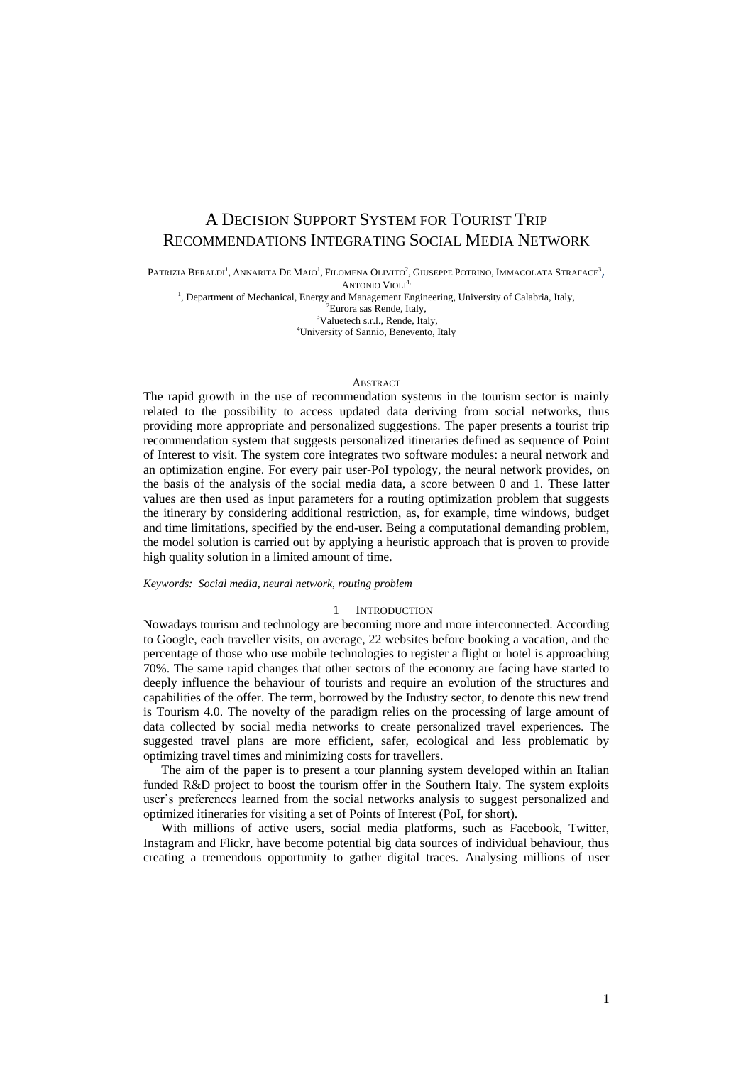# A DECISION SUPPORT SYSTEM FOR TOURIST TRIP RECOMMENDATIONS INTEGRATING SOCIAL MEDIA NETWORK

Patrizia Beraldi<sup>1</sup>, Annarita De Maio<sup>1</sup>, Filomena Olivito<sup>2</sup>, Giuseppe Potrino, Immacolata Straface<sup>3</sup>,

ANTONIO VIOLI<sup>4,</sup>

<sup>1</sup>, Department of Mechanical, Energy and Management Engineering, University of Calabria, Italy,

<sup>2</sup>Eurora sas Rende, Italy,

<sup>3</sup>Valuetech s.r.l., Rende, Italy, <sup>4</sup>University of Sannio, Benevento, Italy

# ABSTRACT

The rapid growth in the use of recommendation systems in the tourism sector is mainly related to the possibility to access updated data deriving from social networks, thus providing more appropriate and personalized suggestions. The paper presents a tourist trip recommendation system that suggests personalized itineraries defined as sequence of Point of Interest to visit. The system core integrates two software modules: a neural network and an optimization engine. For every pair user-PoI typology, the neural network provides, on the basis of the analysis of the social media data, a score between 0 and 1. These latter values are then used as input parameters for a routing optimization problem that suggests the itinerary by considering additional restriction, as, for example, time windows, budget and time limitations, specified by the end-user. Being a computational demanding problem, the model solution is carried out by applying a heuristic approach that is proven to provide high quality solution in a limited amount of time.

#### *Keywords: Social media, neural network, routing problem*

#### 1 INTRODUCTION

Nowadays tourism and technology are becoming more and more interconnected. According to Google, each traveller visits, on average, 22 websites before booking a vacation, and the percentage of those who use mobile technologies to register a flight or hotel is approaching 70%. The same rapid changes that other sectors of the economy are facing have started to deeply influence the behaviour of tourists and require an evolution of the structures and capabilities of the offer. The term, borrowed by the Industry sector, to denote this new trend is Tourism 4.0. The novelty of the paradigm relies on the processing of large amount of data collected by social media networks to create personalized travel experiences. The suggested travel plans are more efficient, safer, ecological and less problematic by optimizing travel times and minimizing costs for travellers.

The aim of the paper is to present a tour planning system developed within an Italian funded R&D project to boost the tourism offer in the Southern Italy. The system exploits user's preferences learned from the social networks analysis to suggest personalized and optimized itineraries for visiting a set of Points of Interest (PoI, for short).

With millions of active users, social media platforms, such as Facebook, Twitter, Instagram and Flickr, have become potential big data sources of individual behaviour, thus creating a tremendous opportunity to gather digital traces. Analysing millions of user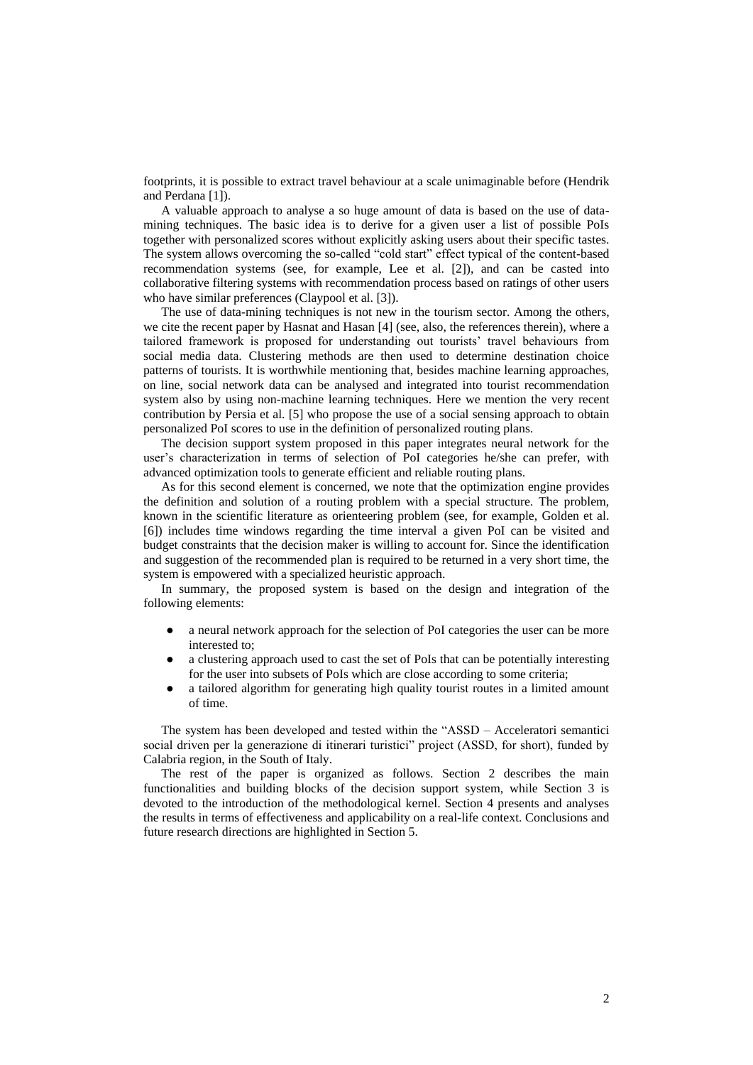footprints, it is possible to extract travel behaviour at a scale unimaginable before (Hendrik and Perdana [1]).

A valuable approach to analyse a so huge amount of data is based on the use of datamining techniques. The basic idea is to derive for a given user a list of possible PoIs together with personalized scores without explicitly asking users about their specific tastes. The system allows overcoming the so-called "cold start" effect typical of the content-based recommendation systems (see, for example, Lee et al. [2]), and can be casted into collaborative filtering systems with recommendation process based on ratings of other users who have similar preferences (Claypool et al. [3]).

The use of data-mining techniques is not new in the tourism sector. Among the others, we cite the recent paper by Hasnat and Hasan [4] (see, also, the references therein), where a tailored framework is proposed for understanding out tourists' travel behaviours from social media data. Clustering methods are then used to determine destination choice patterns of tourists. It is worthwhile mentioning that, besides machine learning approaches, on line, social network data can be analysed and integrated into tourist recommendation system also by using non-machine learning techniques. Here we mention the very recent contribution by Persia et al. [5] who propose the use of a social sensing approach to obtain personalized PoI scores to use in the definition of personalized routing plans.

The decision support system proposed in this paper integrates neural network for the user's characterization in terms of selection of PoI categories he/she can prefer, with advanced optimization tools to generate efficient and reliable routing plans.

As for this second element is concerned, we note that the optimization engine provides the definition and solution of a routing problem with a special structure. The problem, known in the scientific literature as orienteering problem (see, for example, Golden et al. [6]) includes time windows regarding the time interval a given PoI can be visited and budget constraints that the decision maker is willing to account for. Since the identification and suggestion of the recommended plan is required to be returned in a very short time, the system is empowered with a specialized heuristic approach.

In summary, the proposed system is based on the design and integration of the following elements:

- a neural network approach for the selection of PoI categories the user can be more interested to;
- a clustering approach used to cast the set of PoIs that can be potentially interesting for the user into subsets of PoIs which are close according to some criteria;
- a tailored algorithm for generating high quality tourist routes in a limited amount of time.

The system has been developed and tested within the "ASSD – Acceleratori semantici social driven per la generazione di itinerari turistici" project (ASSD, for short), funded by Calabria region, in the South of Italy.

The rest of the paper is organized as follows. Section 2 describes the main functionalities and building blocks of the decision support system, while Section 3 is devoted to the introduction of the methodological kernel. Section 4 presents and analyses the results in terms of effectiveness and applicability on a real-life context. Conclusions and future research directions are highlighted in Section 5.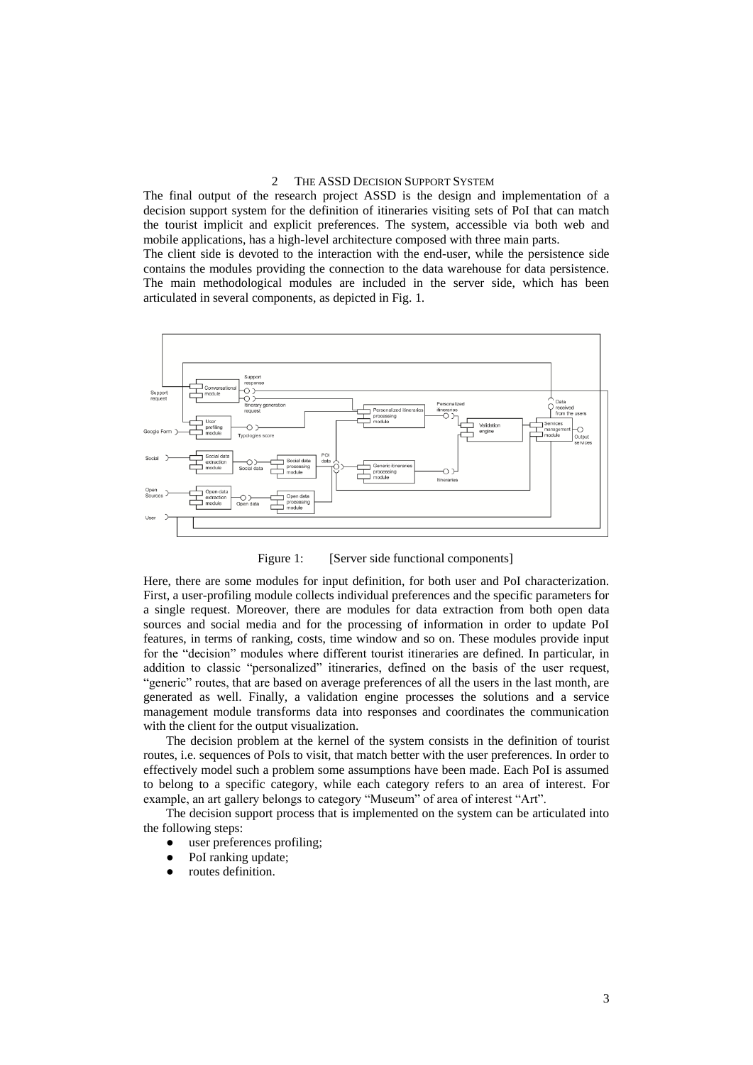# 2 THE ASSD DECISION SUPPORT SYSTEM

The final output of the research project ASSD is the design and implementation of a decision support system for the definition of itineraries visiting sets of PoI that can match the tourist implicit and explicit preferences. The system, accessible via both web and mobile applications, has a high-level architecture composed with three main parts.

The client side is devoted to the interaction with the end-user, while the persistence side contains the modules providing the connection to the data warehouse for data persistence. The main methodological modules are included in the server side, which has been articulated in several components, as depicted in Fig. 1.



Figure 1: [Server side functional components]

Here, there are some modules for input definition, for both user and PoI characterization. First, a user-profiling module collects individual preferences and the specific parameters for a single request. Moreover, there are modules for data extraction from both open data sources and social media and for the processing of information in order to update PoI features, in terms of ranking, costs, time window and so on. These modules provide input for the "decision" modules where different tourist itineraries are defined. In particular, in addition to classic "personalized" itineraries, defined on the basis of the user request, "generic" routes, that are based on average preferences of all the users in the last month, are generated as well. Finally, a validation engine processes the solutions and a service management module transforms data into responses and coordinates the communication with the client for the output visualization.

The decision problem at the kernel of the system consists in the definition of tourist routes, i.e. sequences of PoIs to visit, that match better with the user preferences. In order to effectively model such a problem some assumptions have been made. Each PoI is assumed to belong to a specific category, while each category refers to an area of interest. For example, an art gallery belongs to category "Museum" of area of interest "Art".

The decision support process that is implemented on the system can be articulated into the following steps:

- user preferences profiling;
- PoI ranking update;
- routes definition.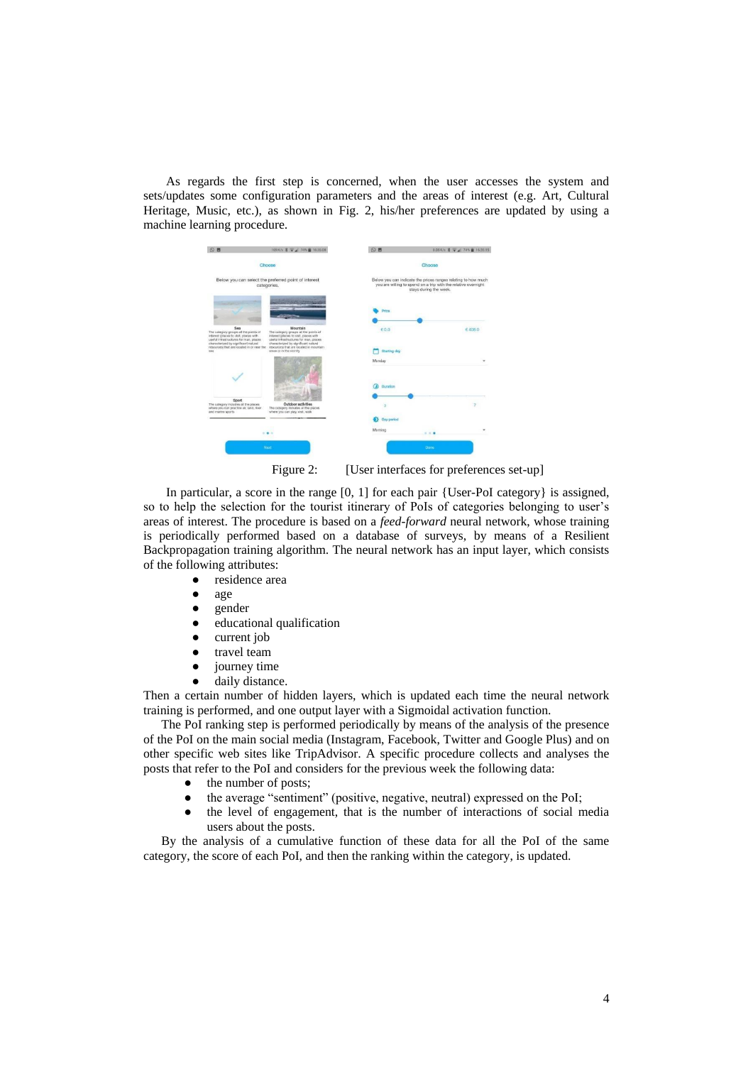As regards the first step is concerned, when the user accesses the system and sets/updates some configuration parameters and the areas of interest (e.g. Art, Cultural Heritage, Music, etc.), as shown in Fig. 2, his/her preferences are updated by using a machine learning procedure.



Figure 2: [User interfaces for preferences set-up]

In particular, a score in the range [0, 1] for each pair {User-PoI category} is assigned, so to help the selection for the tourist itinerary of PoIs of categories belonging to user's areas of interest. The procedure is based on a *feed-forward* neural network, whose training is periodically performed based on a database of surveys, by means of a Resilient Backpropagation training algorithm. The neural network has an input layer, which consists of the following attributes:

- residence area
- age
- gender
- educational qualification
- current job
- travel team
- journey time
- daily distance.

Then a certain number of hidden layers, which is updated each time the neural network training is performed, and one output layer with a Sigmoidal activation function.

The PoI ranking step is performed periodically by means of the analysis of the presence of the PoI on the main social media (Instagram, Facebook, Twitter and Google Plus) and on other specific web sites like TripAdvisor. A specific procedure collects and analyses the posts that refer to the PoI and considers for the previous week the following data:

- the number of posts;
- the average "sentiment" (positive, negative, neutral) expressed on the PoI;
- the level of engagement, that is the number of interactions of social media users about the posts.

By the analysis of a cumulative function of these data for all the PoI of the same category, the score of each PoI, and then the ranking within the category, is updated.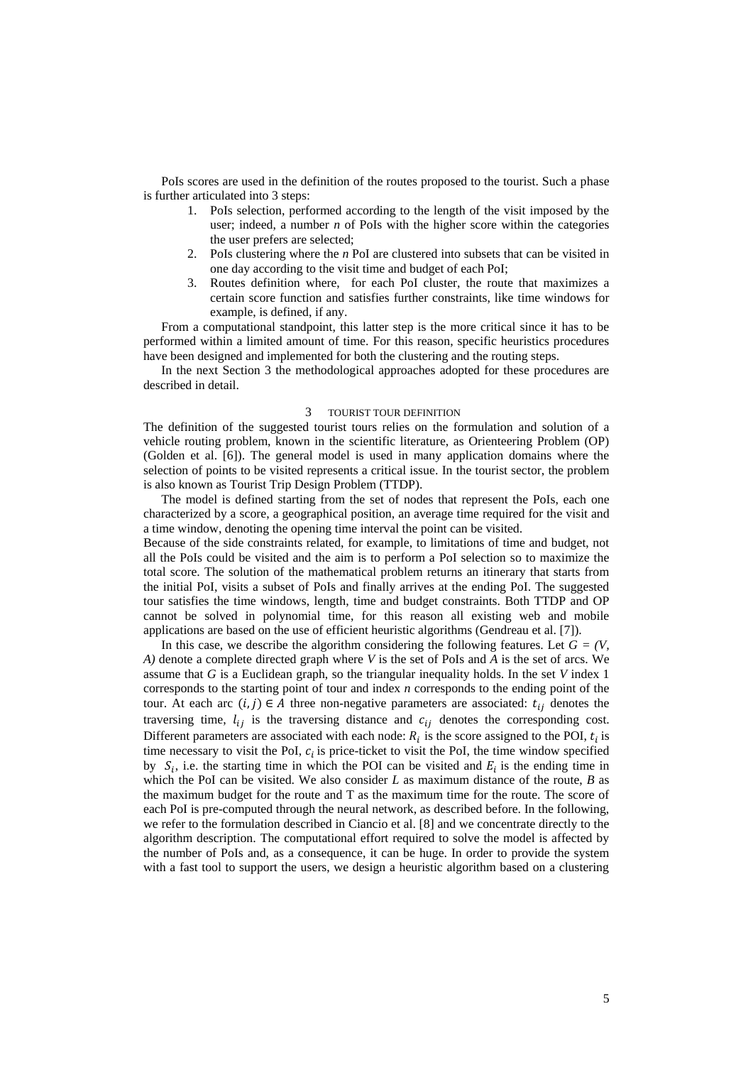PoIs scores are used in the definition of the routes proposed to the tourist. Such a phase is further articulated into 3 steps:

- 1. PoIs selection, performed according to the length of the visit imposed by the user; indeed, a number *n* of PoIs with the higher score within the categories the user prefers are selected;
- 2. PoIs clustering where the *n* PoI are clustered into subsets that can be visited in one day according to the visit time and budget of each PoI;
- 3. Routes definition where, for each PoI cluster, the route that maximizes a certain score function and satisfies further constraints, like time windows for example, is defined, if any.

From a computational standpoint, this latter step is the more critical since it has to be performed within a limited amount of time. For this reason, specific heuristics procedures have been designed and implemented for both the clustering and the routing steps.

In the next Section 3 the methodological approaches adopted for these procedures are described in detail.

### 3 TOURIST TOUR DEFINITION

The definition of the suggested tourist tours relies on the formulation and solution of a vehicle routing problem, known in the scientific literature, as Orienteering Problem (OP) (Golden et al. [6]). The general model is used in many application domains where the selection of points to be visited represents a critical issue. In the tourist sector, the problem is also known as Tourist Trip Design Problem (TTDP).

The model is defined starting from the set of nodes that represent the PoIs, each one characterized by a score, a geographical position, an average time required for the visit and a time window, denoting the opening time interval the point can be visited.

Because of the side constraints related, for example, to limitations of time and budget, not all the PoIs could be visited and the aim is to perform a PoI selection so to maximize the total score. The solution of the mathematical problem returns an itinerary that starts from the initial PoI, visits a subset of PoIs and finally arrives at the ending PoI. The suggested tour satisfies the time windows, length, time and budget constraints. Both TTDP and OP cannot be solved in polynomial time, for this reason all existing web and mobile applications are based on the use of efficient heuristic algorithms (Gendreau et al. [7]).

In this case, we describe the algorithm considering the following features. Let  $G = (V, \mathcal{L})$ *A)* denote a complete directed graph where *V* is the set of PoIs and *A* is the set of arcs. We assume that *G* is a Euclidean graph, so the triangular inequality holds. In the set *V* index 1 corresponds to the starting point of tour and index *n* corresponds to the ending point of the tour. At each arc  $(i, j) \in A$  three non-negative parameters are associated:  $t_{ij}$  denotes the traversing time,  $l_{ij}$  is the traversing distance and  $c_{ij}$  denotes the corresponding cost. Different parameters are associated with each node:  $R_i$  is the score assigned to the POI,  $t_i$  is time necessary to visit the PoI,  $c_i$  is price-ticket to visit the PoI, the time window specified by  $S_i$ , i.e. the starting time in which the POI can be visited and  $E_i$  is the ending time in which the PoI can be visited. We also consider *L* as maximum distance of the route, *B* as the maximum budget for the route and T as the maximum time for the route. The score of each PoI is pre-computed through the neural network, as described before. In the following, we refer to the formulation described in Ciancio et al. [8] and we concentrate directly to the algorithm description. The computational effort required to solve the model is affected by the number of PoIs and, as a consequence, it can be huge. In order to provide the system with a fast tool to support the users, we design a heuristic algorithm based on a clustering